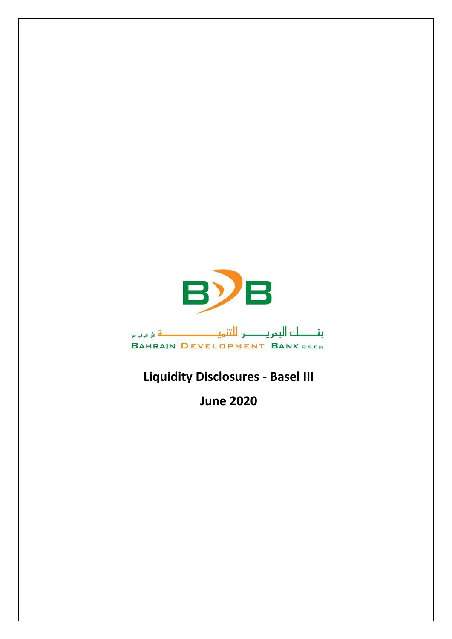

## **Liquidity Disclosures - Basel III**

**June 2020**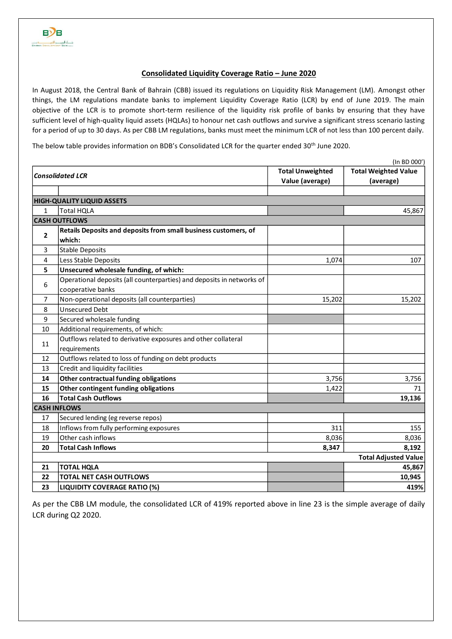## **Consolidated Liquidity Coverage Ratio – June 2020**

In August 2018, the Central Bank of Bahrain (CBB) issued its regulations on Liquidity Risk Management (LM). Amongst other things, the LM regulations mandate banks to implement Liquidity Coverage Ratio (LCR) by end of June 2019. The main objective of the LCR is to promote short-term resilience of the liquidity risk profile of banks by ensuring that they have sufficient level of high-quality liquid assets (HQLAs) to honour net cash outflows and survive a significant stress scenario lasting for a period of up to 30 days. As per CBB LM regulations, banks must meet the minimum LCR of not less than 100 percent daily.

The below table provides information on BDB's Consolidated LCR for the quarter ended 30<sup>th</sup> June 2020.

| (In BD 000')                      |                                                                       |                         |                             |  |  |  |  |  |
|-----------------------------------|-----------------------------------------------------------------------|-------------------------|-----------------------------|--|--|--|--|--|
| <b>Consolidated LCR</b>           |                                                                       | <b>Total Unweighted</b> | <b>Total Weighted Value</b> |  |  |  |  |  |
|                                   |                                                                       | Value (average)         | (average)                   |  |  |  |  |  |
|                                   |                                                                       |                         |                             |  |  |  |  |  |
| <b>HIGH-QUALITY LIQUID ASSETS</b> |                                                                       |                         |                             |  |  |  |  |  |
| $\mathbf{1}$                      | <b>Total HQLA</b>                                                     |                         | 45,867                      |  |  |  |  |  |
|                                   | <b>CASH OUTFLOWS</b>                                                  |                         |                             |  |  |  |  |  |
| $\overline{2}$                    | Retails Deposits and deposits from small business customers, of       |                         |                             |  |  |  |  |  |
|                                   | which:                                                                |                         |                             |  |  |  |  |  |
| 3                                 | <b>Stable Deposits</b>                                                |                         |                             |  |  |  |  |  |
| 4                                 | Less Stable Deposits                                                  | 1,074                   | 107                         |  |  |  |  |  |
| 5                                 | Unsecured wholesale funding, of which:                                |                         |                             |  |  |  |  |  |
| 6                                 | Operational deposits (all counterparties) and deposits in networks of |                         |                             |  |  |  |  |  |
|                                   | cooperative banks                                                     |                         |                             |  |  |  |  |  |
| $\overline{7}$                    | Non-operational deposits (all counterparties)                         | 15,202                  | 15,202                      |  |  |  |  |  |
| 8                                 | <b>Unsecured Debt</b>                                                 |                         |                             |  |  |  |  |  |
| 9                                 | Secured wholesale funding                                             |                         |                             |  |  |  |  |  |
| 10                                | Additional requirements, of which:                                    |                         |                             |  |  |  |  |  |
| 11                                | Outflows related to derivative exposures and other collateral         |                         |                             |  |  |  |  |  |
|                                   | requirements                                                          |                         |                             |  |  |  |  |  |
| 12                                | Outflows related to loss of funding on debt products                  |                         |                             |  |  |  |  |  |
| 13                                | Credit and liquidity facilities                                       |                         |                             |  |  |  |  |  |
| 14                                | Other contractual funding obligations                                 | 3,756                   | 3,756                       |  |  |  |  |  |
| 15                                | Other contingent funding obligations                                  | 1,422                   | 71                          |  |  |  |  |  |
| 16                                | <b>Total Cash Outflows</b>                                            |                         | 19,136                      |  |  |  |  |  |
|                                   | <b>CASH INFLOWS</b>                                                   |                         |                             |  |  |  |  |  |
| 17                                | Secured lending (eg reverse repos)                                    |                         |                             |  |  |  |  |  |
| 18                                | Inflows from fully performing exposures                               | 311                     | 155                         |  |  |  |  |  |
| 19                                | Other cash inflows                                                    | 8,036                   | 8,036                       |  |  |  |  |  |
| 20                                | <b>Total Cash Inflows</b>                                             | 8,347                   | 8,192                       |  |  |  |  |  |
| <b>Total Adjusted Value</b>       |                                                                       |                         |                             |  |  |  |  |  |
| 21                                | <b>TOTAL HQLA</b>                                                     |                         | 45,867                      |  |  |  |  |  |
| 22                                | <b>TOTAL NET CASH OUTFLOWS</b>                                        |                         | 10,945                      |  |  |  |  |  |
| 23                                | <b>LIQUIDITY COVERAGE RATIO (%)</b>                                   |                         | 419%                        |  |  |  |  |  |

As per the CBB LM module, the consolidated LCR of 419% reported above in line 23 is the simple average of daily LCR during Q2 2020.